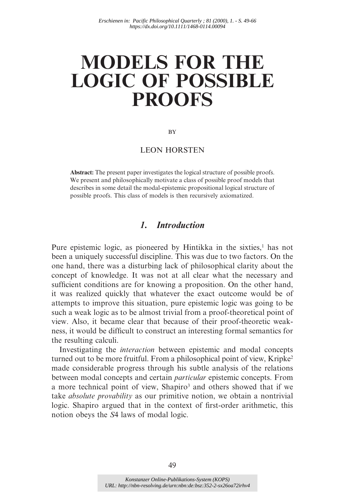# **MODELS FOR THE LOGIC OF POSSIBLE PROOFS**

**BY** 

#### LEON HORSTEN

**Abstract:** The present paper investigates the logical structure of possible proofs. We present and philosophically motivate a class of possible proof models that describes in some detail the modal-epistemic propositional logical structure of possible proofs. This class of models is then recursively axiomatized.

## *1. Introduction*

Pure epistemic logic, as pioneered by Hintikka in the sixties,<sup>1</sup> has not been a uniquely successful discipline. This was due to two factors. On the one hand, there was a disturbing lack of philosophical clarity about the concept of knowledge. It was not at all clear what the necessary and sufficient conditions are for knowing a proposition. On the other hand, it was realized quickly that whatever the exact outcome would be of attempts to improve this situation, pure epistemic logic was going to be such a weak logic as to be almost trivial from a proof-theoretical point of view. Also, it became clear that because of their proof-theoretic weakness, it would be difficult to construct an interesting formal semantics for the resulting calculi.

Investigating the *interaction* between epistemic and modal concepts turned out to be more fruitful. From a philosophical point of view, Kripke<sup>2</sup> made considerable progress through his subtle analysis of the relations between modal concepts and certain *particular* epistemic concepts. From a more technical point of view, Shapiro<sup>3</sup> and others showed that if we take *absolute provability* as our primitive notion, we obtain a nontrivial logic. Shapiro argued that in the context of first-order arithmetic, this notion obeys the *S*4 laws of modal logic.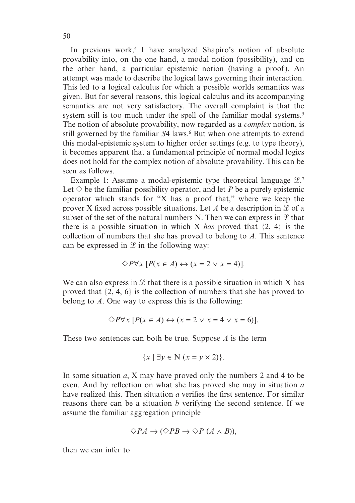In previous work,<sup>4</sup> I have analyzed Shapiro's notion of absolute provability into, on the one hand, a modal notion (possibility), and on the other hand, a particular epistemic notion (having a proof). An attempt was made to describe the logical laws governing their interaction. This led to a logical calculus for which a possible worlds semantics was given. But for several reasons, this logical calculus and its accompanying semantics are not very satisfactory. The overall complaint is that the system still is too much under the spell of the familiar modal systems.<sup>5</sup> The notion of absolute provability, now regarded as a *complex* notion, is still governed by the familiar S4 laws.<sup>6</sup> But when one attempts to extend this modal-epistemic system to higher order settings (e.g. to type theory), it becomes apparent that a fundamental principle of normal modal logics does not hold for the complex notion of absolute provability. This can be seen as follows.

Example 1: Assume a modal-epistemic type theoretical language  $\mathcal{L}$ . Let  $\diamondsuit$  be the familiar possibility operator, and let *P* be a purely epistemic operator which stands for "X has a proof that," where we keep the prover X fixed across possible situations. Let A be a description in  $\mathscr L$  of a subset of the set of the natural numbers N. Then we can express in  $\mathcal{L}$  that there is a possible situation in which X *has* proved that {2, 4} is the collection of numbers that she has proved to belong to *A*. This sentence can be expressed in  $\mathcal L$  in the following way:

$$
\Diamond P \forall x [P(x \in A) \leftrightarrow (x = 2 \lor x = 4)].
$$

We can also express in  $\mathcal L$  that there is a possible situation in which X has proved that {2, 4, 6} is the collection of numbers that she has proved to belong to *A*. One way to express this is the following:

$$
\Diamond P \forall x [P(x \in A) \leftrightarrow (x = 2 \lor x = 4 \lor x = 6)].
$$

These two sentences can both be true. Suppose *A* is the term

$$
\{x \mid \exists y \in \mathbb{N} \ (x = y \times 2)\}.
$$

In some situation *a*, X may have proved only the numbers 2 and 4 to be even. And by reflection on what she has proved she may in situation *a* have realized this. Then situation *a* verifies the first sentence. For similar reasons there can be a situation *b* verifying the second sentence. If we assume the familiar aggregation principle

$$
\Diamond PA \to (\Diamond PB \to \Diamond P (A \land B)),
$$

then we can infer to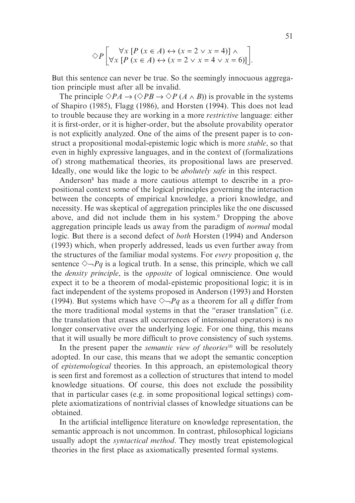$$
\diamondsuit P\left[\forall x \left[P\left(x \in A\right) \leftrightarrow \left(x = 2 \lor x = 4\right)\right] \land \left[\forall x \left[P\left(x \in A\right) \leftrightarrow \left(x = 2 \lor x = 4 \lor x = 6\right)\right]\right].
$$

But this sentence can never be true. So the seemingly innocuous aggregation principle must after all be invalid.

The principle  $\Diamond PA \rightarrow (\Diamond PB \rightarrow \Diamond P (A \land B))$  is provable in the systems of Shapiro (1985), Flagg (1986), and Horsten (1994). This does not lead to trouble because they are working in a more *restrictive* language: either it is first-order, or it is higher-order, but the absolute provability operator is not explicitly analyzed. One of the aims of the present paper is to construct a propositional modal-epistemic logic which is more *stable*, so that even in highly expressive languages, and in the context of (formalizations of) strong mathematical theories, its propositional laws are preserved. Ideally, one would like the logic to be *abolutely safe* in this respect.

Anderson<sup>8</sup> has made a more cautious attempt to describe in a propositional context some of the logical principles governing the interaction between the concepts of empirical knowledge, a priori knowledge, and necessity. He was skeptical of aggregation principles like the one discussed above, and did not include them in his system.<sup>9</sup> Dropping the above aggregation principle leads us away from the paradigm of *normal* modal logic. But there is a second defect of *both* Horsten (1994) and Anderson (1993) which, when properly addressed, leads us even further away from the structures of the familiar modal systems. For *every* proposition *q*, the sentence  $\Diamond \neg Pq$  is a logical truth. In a sense, this principle, which we call the *density principle*, is the *opposite* of logical omniscience. One would expect it to be a theorem of modal-epistemic propositional logic; it is in fact independent of the systems proposed in Anderson (1993) and Horsten (1994). But systems which have  $\Diamond \neg Pq$  as a theorem for all *q* differ from the more traditional modal systems in that the "eraser translation" (i.e. the translation that erases all occurrences of intensional operators) is no longer conservative over the underlying logic. For one thing, this means that it will usually be more difficult to prove consistency of such systems.

In the present paper the *semantic view of theories*<sup>10</sup> will be resolutely adopted. In our case, this means that we adopt the semantic conception of *epistemological* theories. In this approach, an epistemological theory is seen first and foremost as a collection of structures that intend to model knowledge situations. Of course, this does not exclude the possibility that in particular cases (e.g. in some propositional logical settings) complete axiomatizations of nontrivial classes of knowledge situations can be obtained.

In the artificial intelligence literature on knowledge representation, the semantic approach is not uncommon. In contrast, philosophical logicians usually adopt the *syntactical method*. They mostly treat epistemological theories in the first place as axiomatically presented formal systems.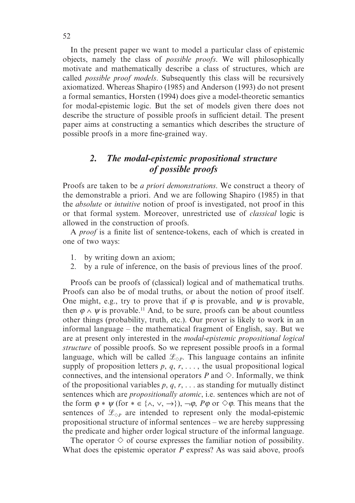In the present paper we want to model a particular class of epistemic objects, namely the class of *possible proofs*. We will philosophically motivate and mathematically describe a class of structures, which are called *possible proof models*. Subsequently this class will be recursively axiomatized. Whereas Shapiro (1985) and Anderson (1993) do not present a formal semantics, Horsten (1994) does give a model-theoretic semantics for modal-epistemic logic. But the set of models given there does not describe the structure of possible proofs in sufficient detail. The present paper aims at constructing a semantics which describes the structure of possible proofs in a more fine-grained way.

# *2. The modal-epistemic propositional structure of possible proofs*

Proofs are taken to be *a priori demonstrations*. We construct a theory of the demonstrable a priori. And we are following Shapiro (1985) in that the *absolute* or *intuitive* notion of proof is investigated, not proof in this or that formal system. Moreover, unrestricted use of *classical* logic is allowed in the construction of proofs.

A *proof* is a finite list of sentence-tokens, each of which is created in one of two ways:

- 1. by writing down an axiom;
- 2. by a rule of inference, on the basis of previous lines of the proof.

Proofs can be proofs of (classical) logical and of mathematical truths. Proofs can also be of modal truths, or about the notion of proof itself. One might, e.g., try to prove that if  $\varphi$  is provable, and  $\psi$  is provable, then  $\varphi \wedge \psi$  is provable.<sup>11</sup> And, to be sure, proofs can be about countless other things (probability, truth, etc.). Our prover is likely to work in an informal language – the mathematical fragment of English, say. But we are at present only interested in the *modal-epistemic propositional logical structure* of possible proofs. So we represent possible proofs in a formal language, which will be called  $\mathcal{L}_{\Diamond P}$ . This language contains an infinite supply of proposition letters  $p$ ,  $q$ ,  $r$ , ..., the usual propositional logical connectives, and the intensional operators  $P$  and  $\Diamond$ . Informally, we think of the propositional variables *p*, *q*, *r*, . . . as standing for mutually distinct sentences which are *propositionally atomic*, i.e. sentences which are not of the form  $\varphi * \psi$  (for  $* \in \{\wedge, \vee, \rightarrow\}$ ),  $\neg \varphi$ ,  $P\varphi$  or  $\diamond \varphi$ . This means that the sentences of  $\mathcal{L}_{\diamond P}$  are intended to represent only the modal-epistemic propositional structure of informal sentences – we are hereby suppressing the predicate and higher order logical structure of the informal language.

The operator  $\diamond$  of course expresses the familiar notion of possibility. What does the epistemic operator *P* express? As was said above, proofs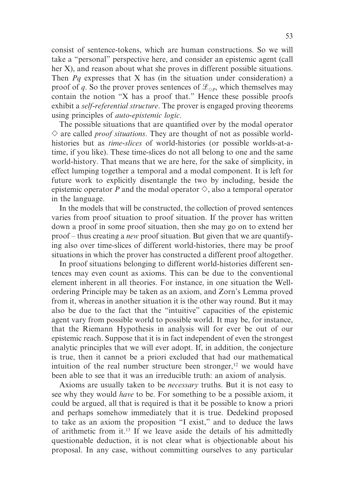consist of sentence-tokens, which are human constructions. So we will take a "personal" perspective here, and consider an epistemic agent (call her X), and reason about what she proves in different possible situations. Then *Pq* expresses that X has (in the situation under consideration) a proof of *q*. So the prover proves sentences of  $\mathcal{L}_{\Diamond P}$ , which themselves may contain the notion "X has a proof that." Hence these possible proofs exhibit a *self-referential structure*. The prover is engaged proving theorems using principles of *auto-epistemic logic*.

The possible situations that are quantified over by the modal operator  $\Diamond$  are called *proof situations*. They are thought of not as possible worldhistories but as *time-slices* of world-histories (or possible worlds-at-atime, if you like). These time-slices do not all belong to one and the same world-history. That means that we are here, for the sake of simplicity, in effect lumping together a temporal and a modal component. It is left for future work to explicitly disentangle the two by including, beside the epistemic operator *P* and the modal operator  $\Diamond$ , also a temporal operator in the language.

In the models that will be constructed, the collection of proved sentences varies from proof situation to proof situation. If the prover has written down a proof in some proof situation, then she may go on to extend her proof – thus creating a *new* proof situation. But given that we are quantifying also over time-slices of different world-histories, there may be proof situations in which the prover has constructed a different proof altogether.

In proof situations belonging to different world-histories different sentences may even count as axioms. This can be due to the conventional element inherent in all theories. For instance, in one situation the Wellordering Principle may be taken as an axiom, and Zorn's Lemma proved from it, whereas in another situation it is the other way round. But it may also be due to the fact that the "intuitive" capacities of the epistemic agent vary from possible world to possible world. It may be, for instance, that the Riemann Hypothesis in analysis will for ever be out of our epistemic reach. Suppose that it is in fact independent of even the strongest analytic principles that we will ever adopt. If, in addition, the conjecture is true, then it cannot be a priori excluded that had our mathematical intuition of the real number structure been stronger, $12$  we would have been able to see that it was an irreducible truth: an axiom of analysis.

Axioms are usually taken to be *necessary* truths. But it is not easy to see why they would *have* to be. For something to be a possible axiom, it could be argued, all that is required is that it be possible to know a priori and perhaps somehow immediately that it is true. Dedekind proposed to take as an axiom the proposition "I exist," and to deduce the laws of arithmetic from it.13 If we leave aside the details of his admittedly questionable deduction, it is not clear what is objectionable about his proposal. In any case, without committing ourselves to any particular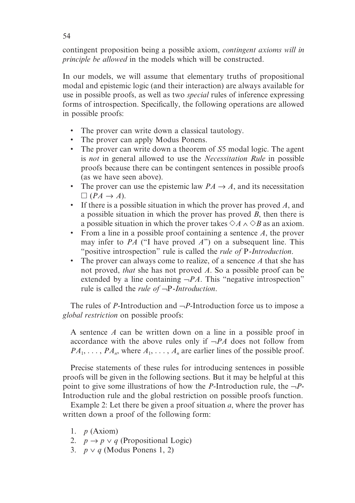contingent proposition being a possible axiom, *contingent axioms will in principle be allowed* in the models which will be constructed.

In our models, we will assume that elementary truths of propositional modal and epistemic logic (and their interaction) are always available for use in possible proofs, as well as two *special* rules of inference expressing forms of introspection. Specifically, the following operations are allowed in possible proofs:

- The prover can write down a classical tautology.
- The prover can apply Modus Ponens.
- The prover can write down a theorem of *S*5 modal logic. The agent is *not* in general allowed to use the *Necessitation Rule* in possible proofs because there can be contingent sentences in possible proofs (as we have seen above).
- The prover can use the epistemic law  $PA \rightarrow A$ , and its necessitation  $\Box$  (*PA*  $\rightarrow$  *A*).
- If there is a possible situation in which the prover has proved *A*, and a possible situation in which the prover has proved *B*, then there is a possible situation in which the prover takes  $\Diamond A \land \Diamond B$  as an axiom.
- From a line in a possible proof containing a sentence *A*, the prover may infer to *PA* ("I have proved *A*") on a subsequent line. This "positive introspection" rule is called the *rule of* P*-Introduction*.
- The prover can always come to realize, of a sencence *A* that she has not proved, *that* she has not proved *A*. So a possible proof can be extended by a line containing  $\neg PA$ . This "negative introspection" rule is called the *rule of* ¬P*-Introduction*.

The rules of *P*-Introduction and ¬*P*-Introduction force us to impose a *global restriction* on possible proofs:

A sentence *A* can be written down on a line in a possible proof in accordance with the above rules only if ¬*PA* does not follow from  $PA_1, \ldots, PA_n$ , where  $A_1, \ldots, A_n$  are earlier lines of the possible proof.

Precise statements of these rules for introducing sentences in possible proofs will be given in the following sections. But it may be helpful at this point to give some illustrations of how the *P*-Introduction rule, the  $\neg P$ -Introduction rule and the global restriction on possible proofs function.

Example 2: Let there be given a proof situation *a*, where the prover has written down a proof of the following form:

- 1. *p* (Axiom)
- 2.  $p \rightarrow p \vee q$  (Propositional Logic)
- 3. *p* ∨ *q* (Modus Ponens 1, 2)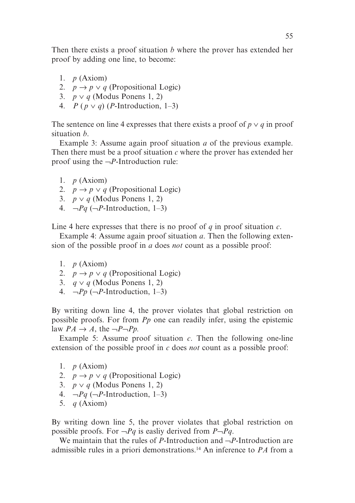Then there exists a proof situation *b* where the prover has extended her proof by adding one line, to become:

- 1. *p* (Axiom)
- 2.  $p \rightarrow p \lor q$  (Propositional Logic)
- 3. *p* ∨ *q* (Modus Ponens 1, 2)
- 4. *P* ( $p \vee q$ ) (*P*-Introduction, 1–3)

The sentence on line 4 expresses that there exists a proof of  $p \vee q$  in proof situation *b*.

Example 3: Assume again proof situation *a* of the previous example. Then there must be a proof situation *c* where the prover has extended her proof using the ¬*P*-Introduction rule:

- 1. *p* (Axiom)
- 2.  $p \rightarrow p \lor q$  (Propositional Logic)
- 3. *p* ∨ *q* (Modus Ponens 1, 2)
- 4.  $\neg Pq$  ( $\neg P$ -Introduction, 1–3)

Line 4 here expresses that there is no proof of *q* in proof situation *c*.

Example 4: Assume again proof situation *a*. Then the following extension of the possible proof in *a* does *not* count as a possible proof:

- 1. *p* (Axiom)
- 2.  $p \rightarrow p \vee q$  (Propositional Logic)
- 3. *q* ∨ *q* (Modus Ponens 1, 2)
- 4.  $\neg Pp$  ( $\neg P$ -Introduction, 1–3)

By writing down line 4, the prover violates that global restriction on possible proofs. For from *Pp* one can readily infer, using the epistemic law  $PA \rightarrow A$ , the  $\neg P \neg P p$ .

Example 5: Assume proof situation *c*. Then the following one-line extension of the possible proof in *c* does *not* count as a possible proof:

- 1. *p* (Axiom)
- 2.  $p \rightarrow p \lor q$  (Propositional Logic)
- 3. *p* ∨ *q* (Modus Ponens 1, 2)
- 4.  $\neg Pq$  ( $\neg P$ -Introduction, 1–3)
- 5. *q* (Axiom)

By writing down line 5, the prover violates that global restriction on possible proofs. For  $\neg Pq$  is easliy derived from  $P\neg Pq$ .

We maintain that the rules of *P*-Introduction and ¬*P*-Introduction are admissible rules in a priori demonstrations.14 An inference to *PA* from a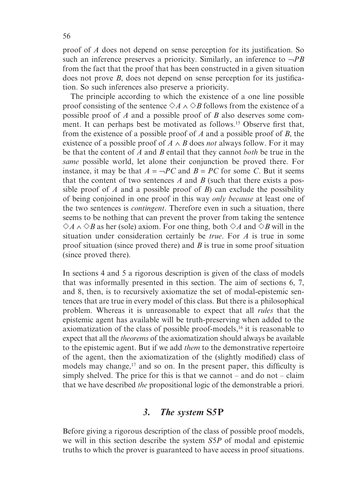proof of *A* does not depend on sense perception for its justification. So such an inference preserves a prioricity. Similarly, an inference to  $\neg PB$ from the fact that the proof that has been constructed in a given situation does not prove *B*, does not depend on sense perception for its justification. So such inferences also preserve a prioricity.

The principle according to which the existence of a one line possible proof consisting of the sentence  $\Diamond A \land \Diamond B$  follows from the existence of a possible proof of *A* and a possible proof of *B* also deserves some comment. It can perhaps best be motivated as follows.15 Observe first that, from the existence of a possible proof of *A* and a possible proof of *B*, the existence of a possible proof of  $A \wedge B$  does *not* always follow. For it may be that the content of *A* and *B* entail that they cannot *both* be true in the *same* possible world, let alone their conjunction be proved there. For instance, it may be that  $A = \neg PC$  and  $B = PC$  for some *C*. But it seems that the content of two sentences *A* and *B* (such that there exists a possible proof of *A* and a possible proof of *B*) can exclude the possibility of being conjoined in one proof in this way *only because* at least one of the two sentences is *contingent*. Therefore even in such a situation, there seems to be nothing that can prevent the prover from taking the sentence  $\diamond A \land ∅B$  as her (sole) axiom. For one thing, both  $\diamond A$  and  $\diamond B$  will in the situation under consideration certainly be *true*. For *A* is true in some proof situation (since proved there) and *B* is true in some proof situation (since proved there).

In sections 4 and 5 a rigorous description is given of the class of models that was informally presented in this section. The aim of sections 6, 7, and 8, then, is to recursively axiomatize the set of modal-epistemic sentences that are true in every model of this class. But there is a philosophical problem. Whereas it is unreasonable to expect that all *rules* that the epistemic agent has available will be truth-preserving when added to the axiomatization of the class of possible proof-models,<sup>16</sup> it is reasonable to expect that all the *theorems* of the axiomatization should always be available to the epistemic agent. But if we add *them* to the demonstrative repertoire of the agent, then the axiomatization of the (slightly modified) class of models may change,<sup>17</sup> and so on. In the present paper, this difficulty is simply shelved. The price for this is that we cannot – and do not – claim that we have described *the* propositional logic of the demonstrable a priori.

## *3. The system* **S***5***P**

Before giving a rigorous description of the class of possible proof models, we will in this section describe the system *S*5*P* of modal and epistemic truths to which the prover is guaranteed to have access in proof situations.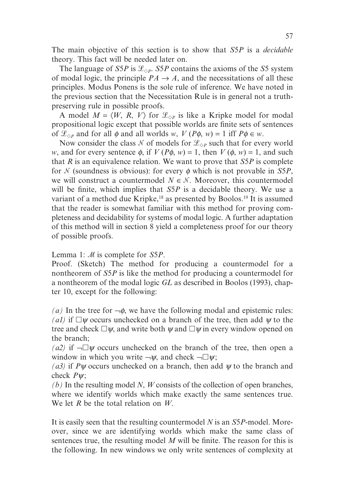The main objective of this section is to show that *S*5*P* is a *decidable* theory. This fact will be needed later on.

The language of *S5P* is  $\mathcal{L}_{\diamond P}$ . *S5P* contains the axioms of the *S5* system of modal logic, the principle  $PA \rightarrow A$ , and the necessitations of all these principles. Modus Ponens is the sole rule of inference. We have noted in the previous section that the Necessitation Rule is in general not a truthpreserving rule in possible proofs.

A model  $M = \langle W, R, V \rangle$  for  $\mathcal{L}_{\Diamond P}$  is like a Kripke model for modal propositional logic except that possible worlds are finite sets of sentences of  $\mathcal{L}_{\Diamond P}$  and for all  $\phi$  and all worlds *w*,  $V(P\phi, w) = 1$  iff  $P\phi \in w$ .

Now consider the class N of models for  $\mathcal{L}_{\Diamond P}$  such that for every world *w*, and for every sentence  $\phi$ , if  $V(P\phi, w) = 1$ , then  $V(\phi, w) = 1$ , and such that *R* is an equivalence relation. We want to prove that *S*5*P* is complete for  $N$  (soundness is obvious): for every  $\phi$  which is not provable in *S5P*, we will construct a countermodel  $N \in \mathcal{N}$ . Moreover, this countermodel will be finite, which implies that *S*5*P* is a decidable theory. We use a variant of a method due Kripke,<sup>18</sup> as presented by Boolos.<sup>19</sup> It is assumed that the reader is somewhat familiar with this method for proving completeness and decidability for systems of modal logic. A further adaptation of this method will in section 8 yield a completeness proof for our theory of possible proofs.

Lemma 1: *M* is complete for *S5P*.

Proof. (Sketch) The method for producing a countermodel for a nontheorem of *S*5*P* is like the method for producing a countermodel for a nontheorem of the modal logic *GL* as described in Boolos (1993), chapter 10, except for the following:

*(a)* In the tree for  $\neg \phi$ , we have the following modal and epistemic rules: *(a1)* if  $\Box \psi$  occurs unchecked on a branch of the tree, then add  $\psi$  to the tree and check  $\Box \psi$ , and write both  $\psi$  and  $\Box \psi$  in every window opened on the branch;

*(a2)* if  $\neg \Box \psi$  occurs unchecked on the branch of the tree, then open a window in which you write  $\neg \psi$ , and check  $\neg \Box \psi$ ;

*(a3)* if *P*ψ occurs unchecked on a branch, then add ψ to the branch and check *P*ψ;

*(b)* In the resulting model *N*, *W* consists of the collection of open branches, where we identify worlds which make exactly the same sentences true. We let *R* be the total relation on *W*.

It is easily seen that the resulting countermodel *N* is an *S*5*P*-model. Moreover, since we are identifying worlds which make the same class of sentences true, the resulting model *M* will be finite. The reason for this is the following. In new windows we only write sentences of complexity at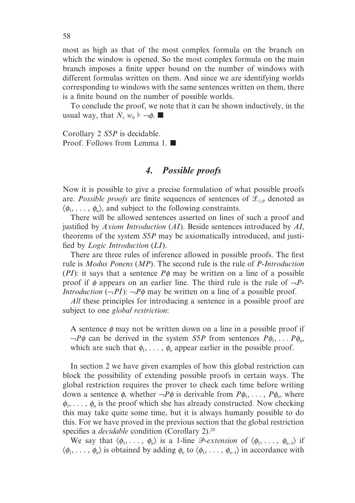most as high as that of the most complex formula on the branch on which the window is opened. So the most complex formula on the main branch imposes a finite upper bound on the number of windows with different formulas written on them. And since we are identifying worlds corresponding to windows with the same sentences written on them, there is a finite bound on the number of possible worlds.

To conclude the proof, we note that it can be shown inductively, in the usual way, that *N*,  $w_0 \models \neg \phi$ .

Corollary 2 *S*5*P* is decidable. Proof. Follows from Lemma 1.  $\blacksquare$ 

## *4. Possible proofs*

Now it is possible to give a precise formulation of what possible proofs are. *Possible proofs* are finite sequences of sentences of  $\mathcal{L}_{\Diamond P}$  denoted as  $\langle \phi_1, \ldots, \phi_n \rangle$ , and subject to the following constraints.

There will be allowed sentences asserted on lines of such a proof and justified by *Axiom Introduction* (*AI*). Beside sentences introduced by *AI*, theorems of the system *S*5*P* may be axiomatically introduced, and justified by *Logic Introduction* (*LI*).

There are three rules of inference allowed in possible proofs. The first rule is *Modus Ponens* (*MP*). The second rule is the rule of *P-Introduction* (*PI*): it says that a sentence  $P\phi$  may be written on a line of a possible proof if φ appears on an earlier line. The third rule is the rule of ¬*P*-*Introduction*  $(-PI)$ :  $-P\phi$  may be written on a line of a possible proof.

*All* these principles for introducing a sentence in a possible proof are subject to one *global restriction*:

A sentence  $\phi$  may not be written down on a line in a possible proof if  $\neg P\phi$  can be derived in the system *S5P* from sentences  $P\phi_1, \ldots P\phi_n$ , which are such that  $\phi_1, \ldots, \phi_n$  appear earlier in the possible proof.

In section 2 we have given examples of how this global restriction can block the possibility of extending possible proofs in certain ways. The global restriction requires the prover to check each time before writing down a sentence  $\phi$ , whether  $\neg P\phi$  is derivable from  $P\phi_1, \ldots, P\phi_n$ , where  $\phi_1, \ldots, \phi_n$  is the proof which she has already constructed. Now checking this may take quite some time, but it is always humanly possible to do this. For we have proved in the previous section that the global restriction specifies a *decidable* condition (Corollary 2).<sup>20</sup>

We say that  $\langle \phi_1, \ldots, \phi_n \rangle$  is a 1-line *P*-*extension* of  $\langle \phi_1, \ldots, \phi_{n-1} \rangle$  if  $\langle \phi_1, \ldots, \phi_n \rangle$  is obtained by adding  $\phi_n$  to  $\langle \phi_1, \ldots, \phi_{n-1} \rangle$  in accordance with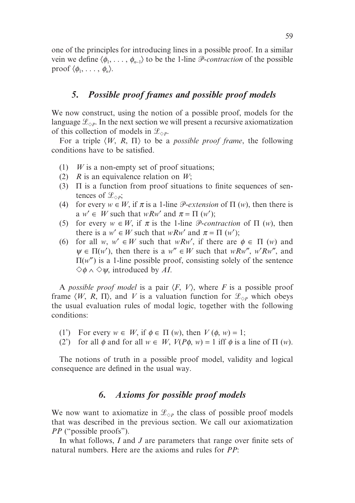one of the principles for introducing lines in a possible proof. In a similar vein we define  $\langle \phi_1, \ldots, \phi_{n-1} \rangle$  to be the 1-line *P*-contraction of the possible proof  $\langle \phi_1, \ldots, \phi_n \rangle$ .

### *5. Possible proof frames and possible proof models*

We now construct, using the notion of a possible proof, models for the language  $\mathcal{L}_{\diamond P}$ . In the next section we will present a recursive axiomatization of this collection of models in  $\mathcal{L}_{\Diamond P}$ .

For a triple  $\langle W, R, \Pi \rangle$  to be a *possible proof frame*, the following conditions have to be satisfied.

- (1) *W* is a non-empty set of proof situations;
- (2) *R* is an equivalence relation on *W*;
- (3)  $\Pi$  is a function from proof situations to finite sequences of sentences of  $\mathscr{L}_{\Diamond P}$ ;
- (4) for every  $w \in W$ , if  $\pi$  is a 1-line  $\mathcal{P}-ext{extension of } \Pi$  (*w*), then there is a  $w' \in W$  such that  $wRw'$  and  $\pi = \Pi(w')$ ;
- (5) for every  $w \in W$ , if  $\pi$  is the 1-line *P*-contraction of  $\Pi$  (*w*), then there is a  $w' \in W$  such that  $wRw'$  and  $\pi = \Pi(w')$ ;
- (6) for all *w*,  $w' \in W$  such that *wRw'*, if there are  $\phi \in \Pi$  (*w*) and  $\Psi \in \Pi(w')$ , then there is a  $w'' \in W$  such that *wRw''*, *w'Rw''*, and  $\Pi(w'')$  is a 1-line possible proof, consisting solely of the sentence  $\Diamond \phi \land \Diamond \psi$ , introduced by *AI*.

A *possible proof model* is a pair  $\langle F, V \rangle$ , where *F* is a possible proof frame  $\langle W, R, \Pi \rangle$ , and *V* is a valuation function for  $\mathcal{L}_{\Diamond P}$  which obeys the usual evaluation rules of modal logic, together with the following conditions:

- (1') For every  $w \in W$ , if  $\phi \in \Pi$  (*w*), then  $V(\phi, w) = 1$ ;
- (2) for all  $\phi$  and for all  $w \in W$ ,  $V(P\phi, w) = 1$  iff  $\phi$  is a line of  $\Pi(w)$ .

The notions of truth in a possible proof model, validity and logical consequence are defined in the usual way.

#### *6. Axioms for possible proof models*

We now want to axiomatize in  $\mathcal{L}_{\Diamond P}$  the class of possible proof models that was described in the previous section. We call our axiomatization *PP* ("possible proofs").

In what follows, *I* and *J* are parameters that range over finite sets of natural numbers. Here are the axioms and rules for *PP*: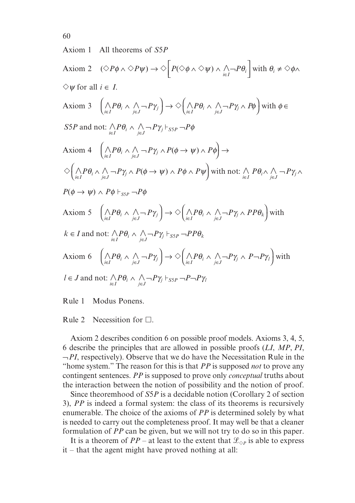Axiom 1 All theorems of *S*5*P*

Axiom 2  $(\Diamond P \phi \land \Diamond P \psi) \rightarrow \Diamond \Big| P (\Diamond \phi \land \Diamond \psi) \land \bigwedge_{i \in I} \neg P \theta_i \Big|$  with  $\theta_i \neq \Diamond \phi$ .  $\overline{\phantom{a}}$  $\overline{\phantom{a}}$  $(\lambda) \wedge \bigwedge_{i \in I} \neg P \theta_i$  with  $\theta_i \neq \Diamond \phi \wedge$  $\diamondsuit \psi$  for all  $i \in I$ . Axiom 3 ľ  $\wedge P\theta_i \wedge \wedge \neg P\gamma_i \rightarrow \Diamond \wedge P\theta_i \wedge \wedge$  $\left(\bigwedge_{i \in I} P \theta_i \wedge \bigwedge_{j \in J} \neg P \gamma_j\right) \rightarrow \Diamond \left(\bigwedge_{i \in I} P \theta_i \wedge \bigwedge_{j \in J} \neg P \gamma_j \wedge P \right)$ l  $\overline{a}$  $\Big) \rightarrow \Diamond \Big( {\displaystyle \mathop{\bigwedge}_{i \in I}} P \theta_i \wedge {\displaystyle \mathop{\bigwedge}_{j \in J}} - P \gamma_j \wedge$  $\overline{a}$  $\theta_i \wedge \bigwedge_{j \in J} \neg P \gamma_j \right) \rightarrow \Diamond \Big( \bigwedge_{i \in I} P \theta_i \wedge \bigwedge_{j \in J} \neg P \gamma_j \wedge P \phi \Big)$  with  $\phi \in$ ľ *S5P* and not:  $\bigwedge_{i \in I} P \theta_i \wedge \bigwedge_{j \in J} \neg P \gamma_j \vdash_{SSP} \neg P \phi$ Axiom 4 ľ  $\wedge P\theta_i \wedge \wedge$  $\left(\bigwedge_{i \in I} P \theta_i \wedge \bigwedge_{j \in J} \neg P \gamma_j \wedge P(\phi \rightarrow \psi) \wedge P\right)$  $\mathbf{r}$  $\theta_i \wedge \bigwedge_{j \in J} \neg P \gamma_j \wedge P(\phi \rightarrow \psi) \wedge P\phi \Big) \rightarrow$  $\Diamond \big(\wedge P\theta_i \wedge \wedge \neg P\gamma_i \wedge P(\phi \rightarrow \psi) \wedge P\phi \wedge P\psi \big)$  with not:  $\land P\theta_i \wedge \wedge$  $\left(\bigwedge_{i\in I}P\theta_i\wedge\bigwedge_{j\in J}\neg P\gamma_j\wedge P(\phi\rightarrow\psi)\wedge P\phi\wedge P\psi\right]$  with not:  $\bigwedge_{i\in I}P\theta_i\wedge\bigwedge_{j\in J}\neg P\gamma_j$  $\mathbf{r}$  $\theta_i \wedge \bigwedge_{j \in J} \neg Py_j \wedge P(\phi \rightarrow \psi) \wedge P\phi \wedge P\psi$  with not:  $\bigwedge_{i \in I} P\theta_i \wedge \bigwedge_{j \in J} \neg Py_j \wedge$  $P(\phi \to \psi) \land P\phi \vdash_{S5P} \neg P\phi$ Axiom 5 ľ  $\wedge P\theta_i \wedge \wedge \neg P\gamma_i \rightarrow \Diamond \wedge P\theta_i \wedge \wedge$  $\left(\bigwedge_{i\in I}P\theta_i\ \wedge\ \bigwedge_{j\in J}\neg P\gamma_j\right)\to \diamondsuit \left(\bigwedge_{i\in I}P\theta_i\ \wedge\ \bigwedge_{j\in J}\neg P\gamma_j\ \wedge\ PP\theta_k\right)$ l  $\overline{\phantom{a}}$  $\Big) \rightarrow \Diamond \Big( {\displaystyle \mathop{\bigwedge}_{i \in I}} P \theta_i \wedge {\displaystyle \mathop{\bigwedge}_{j \in J}} - P \gamma_j \wedge$  $\overline{a}$  $\theta_i \wedge \bigwedge_{j \in J} \neg P \gamma_j \right) \rightarrow \Diamond \Big( \bigwedge_{i \in I} P \theta_i \wedge \bigwedge_{j \in J} \neg P \gamma_j \wedge PP \theta_k \Big)$  with ľ  $k \in I$  and not:  $\bigwedge_{i \in I} P \theta_i \wedge \bigwedge_{j \in J} \neg P \gamma_j \vdash_{SSP} \neg PP \theta_k$ Axiom 6 ľ  $\wedge P\theta_i \wedge \wedge \neg P\gamma_i \rightarrow \Diamond \wedge P\theta_i \wedge \wedge$  $\left(\bigwedge_{i \in I} P \theta_i \wedge \bigwedge_{j \in J} \neg P \gamma_j \right) \rightarrow \Diamond \left(\bigwedge_{i \in I} P \theta_i \wedge \bigwedge_{j \in J} \neg P \gamma_j \wedge P \neg P \gamma_l \right)$ l  $\overline{a}$  $\Big) \rightarrow \Diamond \Big( \bigwedge_{i \in I} P \theta_i \wedge \bigwedge_{j \in J} \neg P \gamma_j \wedge$  $\overline{a}$  $\theta_i \wedge \bigwedge_{j \in J} \neg P \gamma_j \right) \rightarrow \Diamond \Big( \bigwedge_{i \in I} P \theta_i \wedge \bigwedge_{j \in J} \neg P \gamma_j \wedge P \neg P \gamma_l \Big)$  with ľ  $l \in J$  and not:  $\bigwedge_{i \in I} P \theta_i \wedge \bigwedge_{j \in J} \neg P \gamma_j \vdash_{SSP} \neg P \neg P \gamma_i$ 

Rule 1 Modus Ponens.

Rule 2 Necessition for  $\Box$ .

Axiom 2 describes condition 6 on possible proof models. Axioms 3, 4, 5, 6 describe the principles that are allowed in possible proofs (*LI*, *MP*, *PI*,  $\neg PI$ , respectively). Observe that we do have the Necessitation Rule in the "home system." The reason for this is that *PP* is supposed *not* to prove any contingent sentences. *PP* is supposed to prove only *conceptual* truths about the interaction between the notion of possibility and the notion of proof.

Since theoremhood of *S*5*P* is a decidable notion (Corollary 2 of section 3), *PP* is indeed a formal system: the class of its theorems is recursively enumerable. The choice of the axioms of *PP* is determined solely by what is needed to carry out the completeness proof. It may well be that a cleaner formulation of *PP* can be given, but we will not try to do so in this paper.

It is a theorem of *PP* – at least to the extent that  $\mathcal{L}_{\Diamond P}$  is able to express it – that the agent might have proved nothing at all: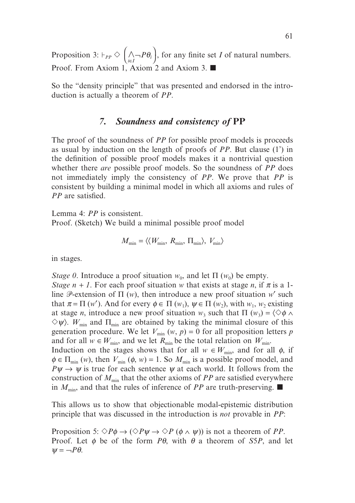Proposition 3:  $\vdash_{PP} \diamondsuit$   $\wedge$  $\Big(\bigwedge_{i \in I} \neg P \theta_i$ l  $\overline{\phantom{a}}$  $\theta_i$ , for any finite set *I* of natural numbers. Proof. From Axiom 1, Axiom 2 and Axiom 3.  $\blacksquare$ 

So the "density principle" that was presented and endorsed in the introduction is actually a theorem of *PP*.

## *7. Soundness and consistency of* **PP**

The proof of the soundness of *PP* for possible proof models is proceeds as usual by induction on the length of proofs of *PP*. But clause (1') in the definition of possible proof models makes it a nontrivial question whether there *are* possible proof models. So the soundness of *PP* does not immediately imply the consistency of *PP*. We prove that *PP* is consistent by building a minimal model in which all axioms and rules of *PP* are satisfied.

Lemma 4: *PP* is consistent.

Proof. (Sketch) We build a minimal possible proof model

$$
M_{\min} = \langle \langle W_{\min}, R_{\min}, \Pi_{\min} \rangle, V_{\min} \rangle
$$

in stages.

*Stage 0*. Introduce a proof situation  $w_0$ , and let  $\Pi(w_0)$  be empty.

*Stage n* + *1*. For each proof situation *w* that exists at stage *n*, if  $\pi$  is a 1line  $\mathcal{P}$ -extension of  $\Pi$  (*w*), then introduce a new proof situation *w*' such that  $\pi = \Pi(w')$ . And for every  $\phi \in \Pi(w_1)$ ,  $\psi \in \Pi(w_2)$ , with  $w_1, w_2$  existing at stage *n*, introduce a new proof situation  $w_3$  such that  $\Pi(w_3) = \langle \diamond \phi \land \phi \rangle$  $\Diamond \psi$ . *W*<sub>min</sub> and  $\Pi_{\min}$  are obtained by taking the minimal closure of this generation procedure. We let  $V_{\text{min}}(w, p) = 0$  for all proposition letters *p* and for all  $w \in W_{\text{min}}$ , and we let  $R_{\text{min}}$  be the total relation on  $W_{\text{min}}$ . Induction on the stages shows that for all  $w \in W_{\text{min}}$ , and for all  $\phi$ , if  $\phi \in \Pi_{\min}(w)$ , then  $V_{\min}(\phi, w) = 1$ . So  $M_{\min}$  is a possible proof model, and

 $P\psi \rightarrow \psi$  is true for each sentence  $\psi$  at each world. It follows from the construction of  $M_{\text{min}}$  that the other axioms of *PP* are satisfied everywhere in  $M_{\text{min}}$ , and that the rules of inference of *PP* are truth-preserving.

This allows us to show that objectionable modal-epistemic distribution principle that was discussed in the introduction is *not* provable in *PP*:

Proposition 5:  $\Diamond P\phi \rightarrow (\Diamond P\psi \rightarrow \Diamond P\ (\phi \land \psi))$  is not a theorem of *PP*. Proof. Let φ be of the form *P*θ, with θ a theorem of *S*5*P*, and let  $\Psi = \neg P \theta$ .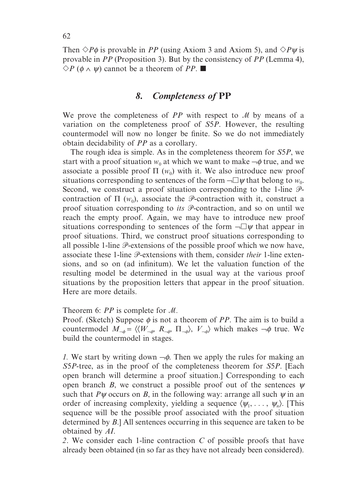Then  $\Diamond P\phi$  is provable in *PP* (using Axiom 3 and Axiom 5), and  $\Diamond P\psi$  is provable in *PP* (Proposition 3). But by the consistency of *PP* (Lemma 4),  $\Diamond P$  ( $\phi \land \psi$ ) cannot be a theorem of *PP*.

#### *8. Completeness of* **PP**

We prove the completeness of  $PP$  with respect to  $M$  by means of a variation on the completeness proof of *S*5*P*. However, the resulting countermodel will now no longer be finite. So we do not immediately obtain decidability of *PP* as a corollary.

The rough idea is simple. As in the completeness theorem for *S*5*P*, we start with a proof situation  $w_0$  at which we want to make  $\neg \phi$  true, and we associate a possible proof  $\Pi$  ( $w_0$ ) with it. We also introduce new proof situations corresponding to sentences of the form  $\neg \Box \psi$  that belong to  $w_0$ . Second, we construct a proof situation corresponding to the 1-line  $\mathcal{P}$ contraction of  $\Pi$  ( $w_0$ ), associate the  $\mathcal{P}$ -contraction with it, construct a proof situation corresponding to *its*  $\mathcal{P}$ -contraction, and so on until we reach the empty proof. Again, we may have to introduce new proof situations corresponding to sentences of the form  $\neg \Box \psi$  that appear in proof situations. Third, we construct proof situations corresponding to all possible 1-line  $\mathcal P$ -extensions of the possible proof which we now have, associate these 1-line  $\mathcal{P}$ -extensions with them, consider *their* 1-line extensions, and so on (ad infinitum). We let the valuation function of the resulting model be determined in the usual way at the various proof situations by the proposition letters that appear in the proof situation. Here are more details.

Theorem 6:  $PP$  is complete for  $M$ .

Proof. (Sketch) Suppose  $\phi$  is not a theorem of *PP*. The aim is to build a countermodel  $M_{\neg \phi} = \langle \langle W_{\neg \phi}, R_{\neg \phi}, \Pi_{\neg \phi} \rangle$ ,  $V_{\neg \phi} \rangle$  which makes  $\neg \phi$  true. We build the countermodel in stages.

*1.* We start by writing down  $\neg \phi$ . Then we apply the rules for making an *S*5*P*-tree, as in the proof of the completeness theorem for *S*5*P*. [Each open branch will determine a proof situation.] Corresponding to each open branch *B*, we construct a possible proof out of the sentences  $\psi$ such that  $P\psi$  occurs on *B*, in the following way: arrange all such  $\psi$  in an order of increasing complexity, yielding a sequence  $\langle \psi_1, \ldots, \psi_n \rangle$ . [This sequence will be the possible proof associated with the proof situation determined by *B*.] All sentences occurring in this sequence are taken to be obtained by *AI*.

*2*. We consider each 1-line contraction *C* of possible proofs that have already been obtained (in so far as they have not already been considered).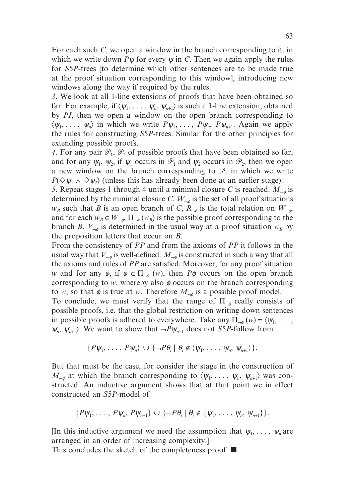For each such *C*, we open a window in the branch corresponding to it, in which we write down  $P\psi$  for every  $\psi$  in *C*. Then we again apply the rules for *S*5*P*-trees [to determine which other sentences are to be made true at the proof situation corresponding to this window], introducing new windows along the way if required by the rules.

*3*. We look at all 1-line extensions of proofs that have been obtained so far. For example, if  $\langle \psi_1, \ldots, \psi_n, \psi_{n+1} \rangle$  is such a 1-line extension, obtained by *PI*, then we open a window on the open branch corresponding to  $\langle \psi_1, \ldots, \psi_n \rangle$  in which we write  $P\psi_1, \ldots, P\psi_n, P\psi_{n+1}$ . Again we apply the rules for constructing *S*5*P*-trees. Similar for the other principles for extending possible proofs.

4. For any pair  $\mathcal{P}_1$ ,  $\mathcal{P}_2$  of possible proofs that have been obtained so far, and for any  $\psi_1$ ,  $\psi_2$ , if  $\psi_1$  occurs in  $\mathcal{P}_1$  and  $\psi_2$  occurs in  $\mathcal{P}_2$ , then we open a new window on the branch corresponding to  $\mathcal{P}_1$  in which we write  $P(\Diamond \psi_1 \land \Diamond \psi_2)$  (unless this has already been done at an earlier stage).

*5*. Repeat stages 1 through 4 until a minimal closure *C* is reached. *M*<sup>¬</sup><sup>φ</sup> is determined by the minimal closure *C*.  $W_{\neg \phi}$  is the set of all proof situations  $w_B$  such that *B* is an open branch of *C*,  $R_{\neg \phi}$  is the total relation on  $W_{\neg \phi}$ , and for each  $w_B \in W_{\neg \phi}$ ,  $\Pi_{\neg \phi}(w_B)$  is the possible proof corresponding to the branch *B*.  $V_{-\phi}$  is determined in the usual way at a proof situation  $w_B$  by the proposition letters that occur on *B*.

From the consistency of *PP* and from the axioms of *PP* it follows in the usual way that  $V_{\neg\phi}$  is well-defined.  $M_{\neg\phi}$  is constructed in such a way that all the axioms and rules of *PP* are satisfied. Moreover, for any proof situation *w* and for any  $\phi$ , if  $\phi \in \Pi_{\phi}(w)$ , then  $P\phi$  occurs on the open branch corresponding to *w*, whereby also  $\phi$  occurs on the branch corresponding to *w*, so that  $\phi$  is true at *w*. Therefore  $M_{\phi}$  is a possible proof model.

To conclude, we must verify that the range of  $\Pi_{\phi}$  really consists of possible proofs, i.e. that the global restriction on writing down sentences in possible proofs is adhered to everywhere. Take any  $\Pi_{\phi}(w) = \langle \psi_1, \dots, \psi_n \rangle$  $\psi_n$ ,  $\psi_{n+1}$ ). We want to show that  $\neg P \psi_{n+1}$  does not *S5P*-follow from

$$
\{P\psi_1,\ldots,P\psi_n\}\cup\{\neg P\theta_i\mid \theta_i\notin\{\psi_1,\ldots,\psi_n,\psi_{n+1}\}\}.
$$

But that must be the case, for consider the stage in the construction of  $M_{\neg\phi}$  at which the branch corresponding to  $\langle \psi_1, \ldots, \psi_n, \psi_{n+1} \rangle$  was constructed. An inductive argument shows that at that point we in effect constructed an *S*5*P*-model of

$$
\{P\psi_1,\ldots,P\psi_n,P\psi_{n+1}\}\cup\{\neg P\theta_i\mid\theta_i\notin\{\psi_1,\ldots,\psi_n,\psi_{n+1}\}\}.
$$

[In this inductive argument we need the assumption that  $\psi_1, \ldots, \psi_n$  are arranged in an order of increasing complexity.]

This concludes the sketch of the completeness proof.  $\blacksquare$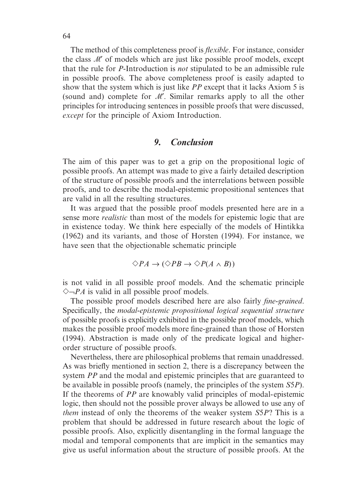The method of this completeness proof is *flexible*. For instance, consider the class  $\mathcal{M}'$  of models which are just like possible proof models, except that the rule for *P*-Introduction is *not* stipulated to be an admissible rule in possible proofs. The above completeness proof is easily adapted to show that the system which is just like *PP* except that it lacks Axiom 5 is (sound and) complete for  $M'$ . Similar remarks apply to all the other principles for introducing sentences in possible proofs that were discussed, *except* for the principle of Axiom Introduction.

## *9. Conclusion*

The aim of this paper was to get a grip on the propositional logic of possible proofs. An attempt was made to give a fairly detailed description of the structure of possible proofs and the interrelations between possible proofs, and to describe the modal-epistemic propositional sentences that are valid in all the resulting structures.

It was argued that the possible proof models presented here are in a sense more *realistic* than most of the models for epistemic logic that are in existence today. We think here especially of the models of Hintikka (1962) and its variants, and those of Horsten (1994). For instance, we have seen that the objectionable schematic principle

$$
\Diamond PA \to (\Diamond PB \to \Diamond P(A \land B))
$$

is not valid in all possible proof models. And the schematic principle  $\Diamond \neg PA$  is valid in all possible proof models.

The possible proof models described here are also fairly *fine-grained*. Specifically, the *modal-epistemic propositional logical sequential structure* of possible proofs is explicitly exhibited in the possible proof models, which makes the possible proof models more fine-grained than those of Horsten (1994). Abstraction is made only of the predicate logical and higherorder structure of possible proofs.

Nevertheless, there are philosophical problems that remain unaddressed. As was briefly mentioned in section 2, there is a discrepancy between the system *PP* and the modal and epistemic principles that are guaranteed to be available in possible proofs (namely, the principles of the system *S*5*P*). If the theorems of *PP* are knowably valid principles of modal-epistemic logic, then should not the possible prover always be allowed to use any of *them* instead of only the theorems of the weaker system *S*5*P*? This is a problem that should be addressed in future research about the logic of possible proofs. Also, explicitly disentangling in the formal language the modal and temporal components that are implicit in the semantics may give us useful information about the structure of possible proofs. At the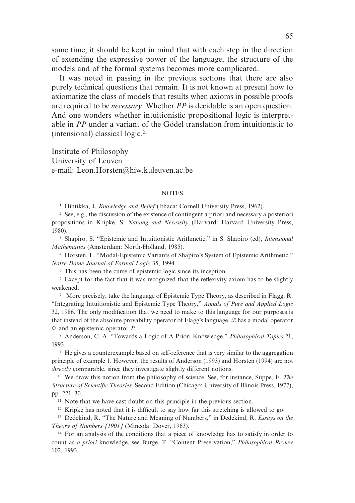same time, it should be kept in mind that with each step in the direction of extending the expressive power of the language, the structure of the models and of the formal systems becomes more complicated.

It was noted in passing in the previous sections that there are also purely technical questions that remain. It is not known at present how to axiomatize the class of models that results when axioms in possible proofs are required to be *necessary*. Whether *PP* is decidable is an open question. And one wonders whether intuitionistic propositional logic is interpretable in *PP* under a variant of the Gödel translation from intuitionistic to (intensional) classical logic.<sup>21</sup>

Institute of Philosophy University of Leuven e-mail: Leon.Horsten@hiw.kuleuven.ac.be

#### **NOTES**

<sup>1</sup> Hintikka, J. *Knowledge and Belief* (Ithaca: Cornell University Press, 1962).

<sup>2</sup> See, e.g., the discussion of the existence of contingent a priori and necessary a posteriori propositions in Kripke, S. *Naming and Necessity* (Harvard: Harvard University Press, 1980).

<sup>3</sup> Shapiro, S. "Epistemic and Intuitionistic Arithmetic," in S. Shapiro (ed), *Intensional Mathematics* (Amsterdam: North-Holland, 1985).

<sup>4</sup> Horsten, L. "Modal-Epistemic Variants of Shapiro's System of Epistemic Arithmetic," *Notre Dame Journal of Formal Logic* 35, 1994.

<sup>5</sup> This has been the curse of epistemic logic since its inception.

<sup>6</sup> Except for the fact that it was recognized that the reflexivity axiom has to be slightly weakened.

7 More precisely, take the language of Epistemic Type Theory, as described in Flagg, R. "Integrating Intuitionistic and Epistemic Type Theory," *Annals of Pure and Applied Logic* 32, 1986. The only modification that we need to make to this language for our purposes is that instead of the absolute provability operator of Flagg's language,  $\mathcal{L}$  has a modal operator  $\diamond$  and an epistemic operator *P*.

<sup>8</sup> Anderson, C. A. "Towards a Logic of A Priori Knowledge," *Philosophical Topics* 21, 1993.

<sup>9</sup> He gives a counterexample based on self-reference that is very similar to the aggregation principle of example 1. However, the results of Anderson (1993) and Horsten (1994) are not *directly* comparable, since they investigate slightly different notions.

<sup>10</sup> We draw this notion from the philosophy of science. See, for instance, Suppe, F. *The Structure of Scientific Theories*. Second Edition (Chicago: University of Illinois Press, 1977), pp. 221–30.

<sup>11</sup> Note that we have cast doubt on this principle in the previous section.

<sup>12</sup> Kripke has noted that it is difficult to say how far this stretching is allowed to go.

<sup>13</sup> Dedekind, R. "The Nature and Meaning of Numbers," in Dedekind, R. *Essays on the Theory of Numbers [1901]* (Mineola: Dover, 1963).

<sup>14</sup> For an analysis of the conditions that a piece of knowledge has to satisfy in order to count as *a priori* knowledge, see Burge, T. "Content Preservation," *Philosophical Review* 102, 1993.